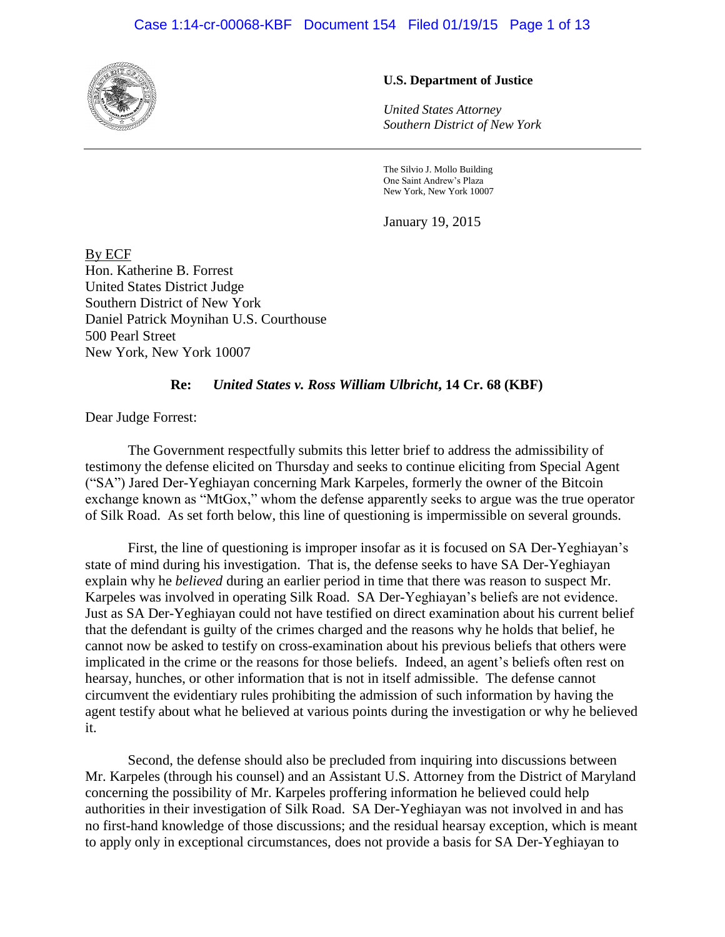## Case 1:14-cr-00068-KBF Document 154 Filed 01/19/15 Page 1 of 13



## **U.S. Department of Justice**

*United States Attorney Southern District of New York*

The Silvio J. Mollo Building One Saint Andrew's Plaza New York, New York 10007

January 19, 2015

By ECF Hon. Katherine B. Forrest United States District Judge Southern District of New York Daniel Patrick Moynihan U.S. Courthouse 500 Pearl Street New York, New York 10007

#### **Re:** *United States v. Ross William Ulbricht***, 14 Cr. 68 (KBF)**

Dear Judge Forrest:

The Government respectfully submits this letter brief to address the admissibility of testimony the defense elicited on Thursday and seeks to continue eliciting from Special Agent ("SA") Jared Der-Yeghiayan concerning Mark Karpeles, formerly the owner of the Bitcoin exchange known as "MtGox," whom the defense apparently seeks to argue was the true operator of Silk Road. As set forth below, this line of questioning is impermissible on several grounds.

First, the line of questioning is improper insofar as it is focused on SA Der-Yeghiayan's state of mind during his investigation. That is, the defense seeks to have SA Der-Yeghiayan explain why he *believed* during an earlier period in time that there was reason to suspect Mr. Karpeles was involved in operating Silk Road. SA Der-Yeghiayan's beliefs are not evidence. Just as SA Der-Yeghiayan could not have testified on direct examination about his current belief that the defendant is guilty of the crimes charged and the reasons why he holds that belief, he cannot now be asked to testify on cross-examination about his previous beliefs that others were implicated in the crime or the reasons for those beliefs. Indeed, an agent's beliefs often rest on hearsay, hunches, or other information that is not in itself admissible. The defense cannot circumvent the evidentiary rules prohibiting the admission of such information by having the agent testify about what he believed at various points during the investigation or why he believed it.

Second, the defense should also be precluded from inquiring into discussions between Mr. Karpeles (through his counsel) and an Assistant U.S. Attorney from the District of Maryland concerning the possibility of Mr. Karpeles proffering information he believed could help authorities in their investigation of Silk Road. SA Der-Yeghiayan was not involved in and has no first-hand knowledge of those discussions; and the residual hearsay exception, which is meant to apply only in exceptional circumstances, does not provide a basis for SA Der-Yeghiayan to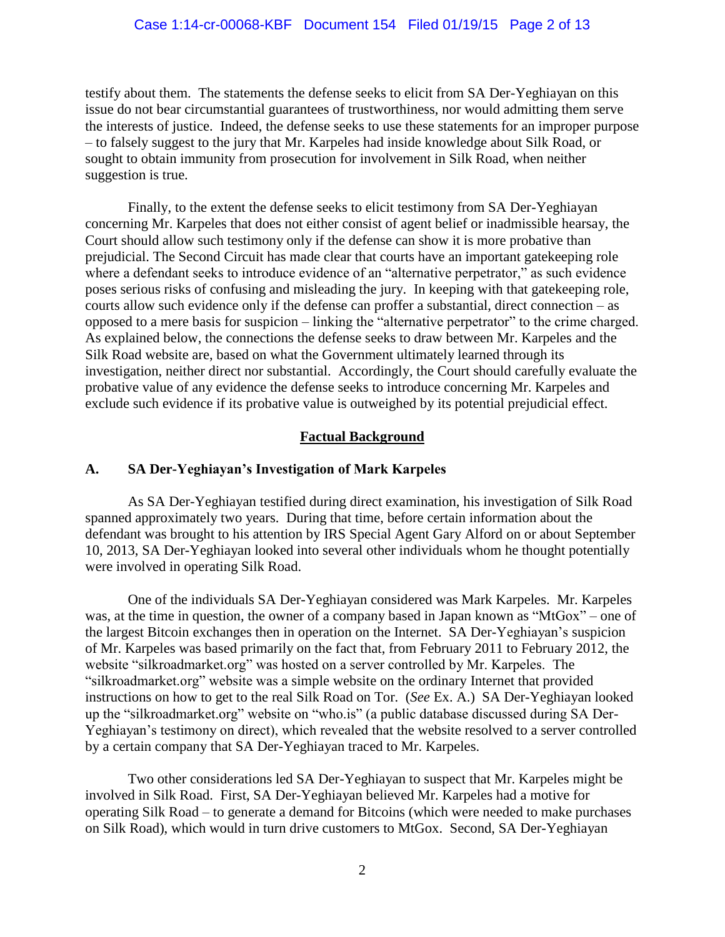testify about them. The statements the defense seeks to elicit from SA Der-Yeghiayan on this issue do not bear circumstantial guarantees of trustworthiness, nor would admitting them serve the interests of justice. Indeed, the defense seeks to use these statements for an improper purpose – to falsely suggest to the jury that Mr. Karpeles had inside knowledge about Silk Road, or sought to obtain immunity from prosecution for involvement in Silk Road, when neither suggestion is true.

Finally, to the extent the defense seeks to elicit testimony from SA Der-Yeghiayan concerning Mr. Karpeles that does not either consist of agent belief or inadmissible hearsay, the Court should allow such testimony only if the defense can show it is more probative than prejudicial. The Second Circuit has made clear that courts have an important gatekeeping role where a defendant seeks to introduce evidence of an "alternative perpetrator," as such evidence poses serious risks of confusing and misleading the jury. In keeping with that gatekeeping role, courts allow such evidence only if the defense can proffer a substantial, direct connection – as opposed to a mere basis for suspicion – linking the "alternative perpetrator" to the crime charged. As explained below, the connections the defense seeks to draw between Mr. Karpeles and the Silk Road website are, based on what the Government ultimately learned through its investigation, neither direct nor substantial. Accordingly, the Court should carefully evaluate the probative value of any evidence the defense seeks to introduce concerning Mr. Karpeles and exclude such evidence if its probative value is outweighed by its potential prejudicial effect.

# **Factual Background**

# **A. SA Der-Yeghiayan's Investigation of Mark Karpeles**

As SA Der-Yeghiayan testified during direct examination, his investigation of Silk Road spanned approximately two years. During that time, before certain information about the defendant was brought to his attention by IRS Special Agent Gary Alford on or about September 10, 2013, SA Der-Yeghiayan looked into several other individuals whom he thought potentially were involved in operating Silk Road.

One of the individuals SA Der-Yeghiayan considered was Mark Karpeles. Mr. Karpeles was, at the time in question, the owner of a company based in Japan known as "MtGox" – one of the largest Bitcoin exchanges then in operation on the Internet. SA Der-Yeghiayan's suspicion of Mr. Karpeles was based primarily on the fact that, from February 2011 to February 2012, the website "silkroadmarket.org" was hosted on a server controlled by Mr. Karpeles. The "silkroadmarket.org" website was a simple website on the ordinary Internet that provided instructions on how to get to the real Silk Road on Tor. (*See* Ex. A.) SA Der-Yeghiayan looked up the "silkroadmarket.org" website on "who.is" (a public database discussed during SA Der-Yeghiayan's testimony on direct), which revealed that the website resolved to a server controlled by a certain company that SA Der-Yeghiayan traced to Mr. Karpeles.

Two other considerations led SA Der-Yeghiayan to suspect that Mr. Karpeles might be involved in Silk Road. First, SA Der-Yeghiayan believed Mr. Karpeles had a motive for operating Silk Road – to generate a demand for Bitcoins (which were needed to make purchases on Silk Road), which would in turn drive customers to MtGox. Second, SA Der-Yeghiayan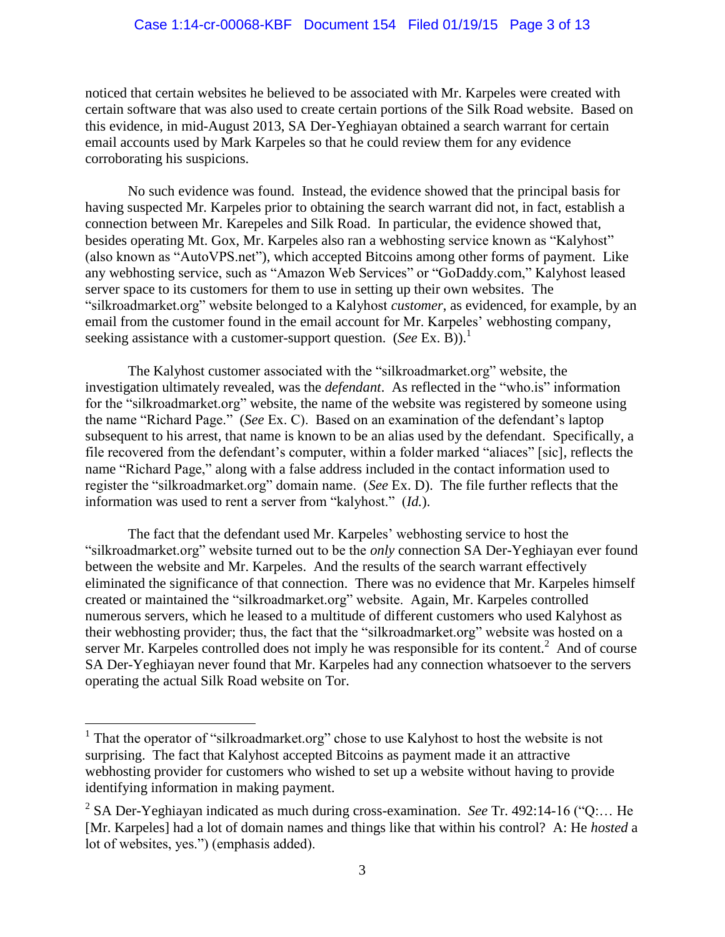noticed that certain websites he believed to be associated with Mr. Karpeles were created with certain software that was also used to create certain portions of the Silk Road website. Based on this evidence, in mid-August 2013, SA Der-Yeghiayan obtained a search warrant for certain email accounts used by Mark Karpeles so that he could review them for any evidence corroborating his suspicions.

No such evidence was found. Instead, the evidence showed that the principal basis for having suspected Mr. Karpeles prior to obtaining the search warrant did not, in fact, establish a connection between Mr. Karepeles and Silk Road. In particular, the evidence showed that, besides operating Mt. Gox, Mr. Karpeles also ran a webhosting service known as "Kalyhost" (also known as "AutoVPS.net"), which accepted Bitcoins among other forms of payment. Like any webhosting service, such as "Amazon Web Services" or "GoDaddy.com," Kalyhost leased server space to its customers for them to use in setting up their own websites. The "silkroadmarket.org" website belonged to a Kalyhost *customer*, as evidenced, for example, by an email from the customer found in the email account for Mr. Karpeles' webhosting company, seeking assistance with a customer-support question. (*See* Ex. B)).<sup>1</sup>

The Kalyhost customer associated with the "silkroadmarket.org" website, the investigation ultimately revealed, was the *defendant*. As reflected in the "who.is" information for the "silkroadmarket.org" website, the name of the website was registered by someone using the name "Richard Page." (*See* Ex. C). Based on an examination of the defendant's laptop subsequent to his arrest, that name is known to be an alias used by the defendant. Specifically, a file recovered from the defendant's computer, within a folder marked "aliaces" [sic], reflects the name "Richard Page," along with a false address included in the contact information used to register the "silkroadmarket.org" domain name. (*See* Ex. D). The file further reflects that the information was used to rent a server from "kalyhost." (*Id.*).

The fact that the defendant used Mr. Karpeles' webhosting service to host the "silkroadmarket.org" website turned out to be the *only* connection SA Der-Yeghiayan ever found between the website and Mr. Karpeles. And the results of the search warrant effectively eliminated the significance of that connection. There was no evidence that Mr. Karpeles himself created or maintained the "silkroadmarket.org" website. Again, Mr. Karpeles controlled numerous servers, which he leased to a multitude of different customers who used Kalyhost as their webhosting provider; thus, the fact that the "silkroadmarket.org" website was hosted on a server Mr. Karpeles controlled does not imply he was responsible for its content.<sup>2</sup> And of course SA Der-Yeghiayan never found that Mr. Karpeles had any connection whatsoever to the servers operating the actual Silk Road website on Tor.

 $\overline{a}$ 

<sup>&</sup>lt;sup>1</sup> That the operator of "silkroadmarket.org" chose to use Kalyhost to host the website is not surprising. The fact that Kalyhost accepted Bitcoins as payment made it an attractive webhosting provider for customers who wished to set up a website without having to provide identifying information in making payment.

<sup>2</sup> SA Der-Yeghiayan indicated as much during cross-examination. *See* Tr. 492:14-16 ("Q:… He [Mr. Karpeles] had a lot of domain names and things like that within his control? A: He *hosted* a lot of websites, yes.") (emphasis added).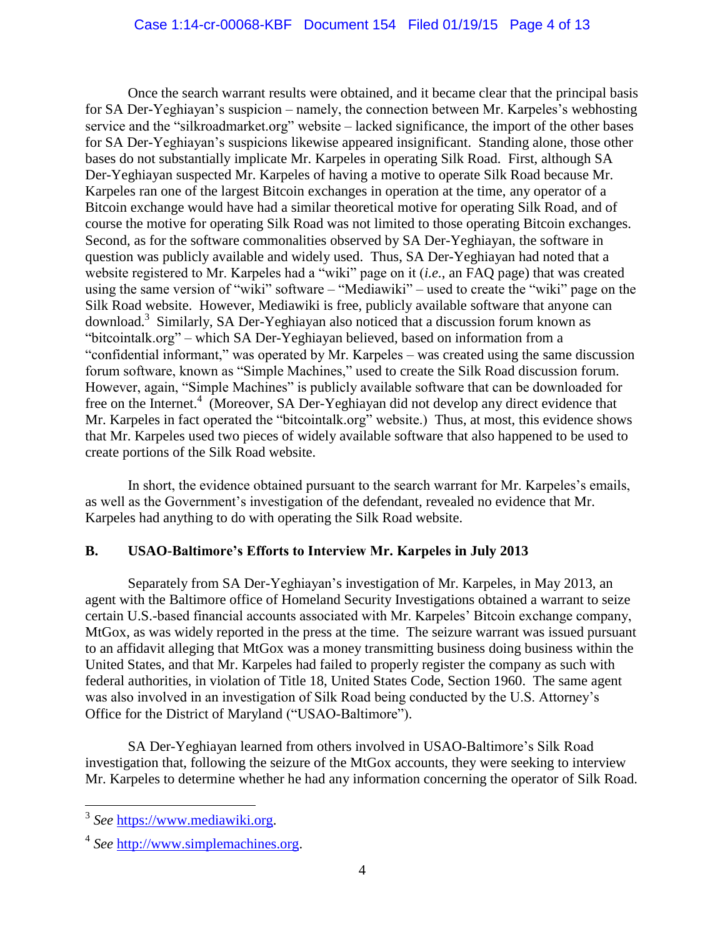Once the search warrant results were obtained, and it became clear that the principal basis for SA Der-Yeghiayan's suspicion – namely, the connection between Mr. Karpeles's webhosting service and the "silkroadmarket.org" website – lacked significance, the import of the other bases for SA Der-Yeghiayan's suspicions likewise appeared insignificant. Standing alone, those other bases do not substantially implicate Mr. Karpeles in operating Silk Road. First, although SA Der-Yeghiayan suspected Mr. Karpeles of having a motive to operate Silk Road because Mr. Karpeles ran one of the largest Bitcoin exchanges in operation at the time, any operator of a Bitcoin exchange would have had a similar theoretical motive for operating Silk Road, and of course the motive for operating Silk Road was not limited to those operating Bitcoin exchanges. Second, as for the software commonalities observed by SA Der-Yeghiayan, the software in question was publicly available and widely used. Thus, SA Der-Yeghiayan had noted that a website registered to Mr. Karpeles had a "wiki" page on it (*i.e.*, an FAQ page) that was created using the same version of "wiki" software – "Mediawiki" – used to create the "wiki" page on the Silk Road website. However, Mediawiki is free, publicly available software that anyone can download.<sup>3</sup> Similarly, SA Der-Yeghiayan also noticed that a discussion forum known as "bitcointalk.org" – which SA Der-Yeghiayan believed, based on information from a "confidential informant," was operated by Mr. Karpeles – was created using the same discussion forum software, known as "Simple Machines," used to create the Silk Road discussion forum. However, again, "Simple Machines" is publicly available software that can be downloaded for free on the Internet.<sup>4</sup> (Moreover, SA Der-Yeghiayan did not develop any direct evidence that Mr. Karpeles in fact operated the "bitcointalk.org" website.) Thus, at most, this evidence shows that Mr. Karpeles used two pieces of widely available software that also happened to be used to create portions of the Silk Road website.

In short, the evidence obtained pursuant to the search warrant for Mr. Karpeles's emails, as well as the Government's investigation of the defendant, revealed no evidence that Mr. Karpeles had anything to do with operating the Silk Road website.

# **B. USAO-Baltimore's Efforts to Interview Mr. Karpeles in July 2013**

Separately from SA Der-Yeghiayan's investigation of Mr. Karpeles, in May 2013, an agent with the Baltimore office of Homeland Security Investigations obtained a warrant to seize certain U.S.-based financial accounts associated with Mr. Karpeles' Bitcoin exchange company, MtGox, as was widely reported in the press at the time. The seizure warrant was issued pursuant to an affidavit alleging that MtGox was a money transmitting business doing business within the United States, and that Mr. Karpeles had failed to properly register the company as such with federal authorities, in violation of Title 18, United States Code, Section 1960. The same agent was also involved in an investigation of Silk Road being conducted by the U.S. Attorney's Office for the District of Maryland ("USAO-Baltimore").

SA Der-Yeghiayan learned from others involved in USAO-Baltimore's Silk Road investigation that, following the seizure of the MtGox accounts, they were seeking to interview Mr. Karpeles to determine whether he had any information concerning the operator of Silk Road.

 3 *See* [https://www.mediawiki.org.](https://www.mediawiki.org/)

<sup>4</sup> *See* [http://www.simplemachines.org.](http://www.simplemachines.org/)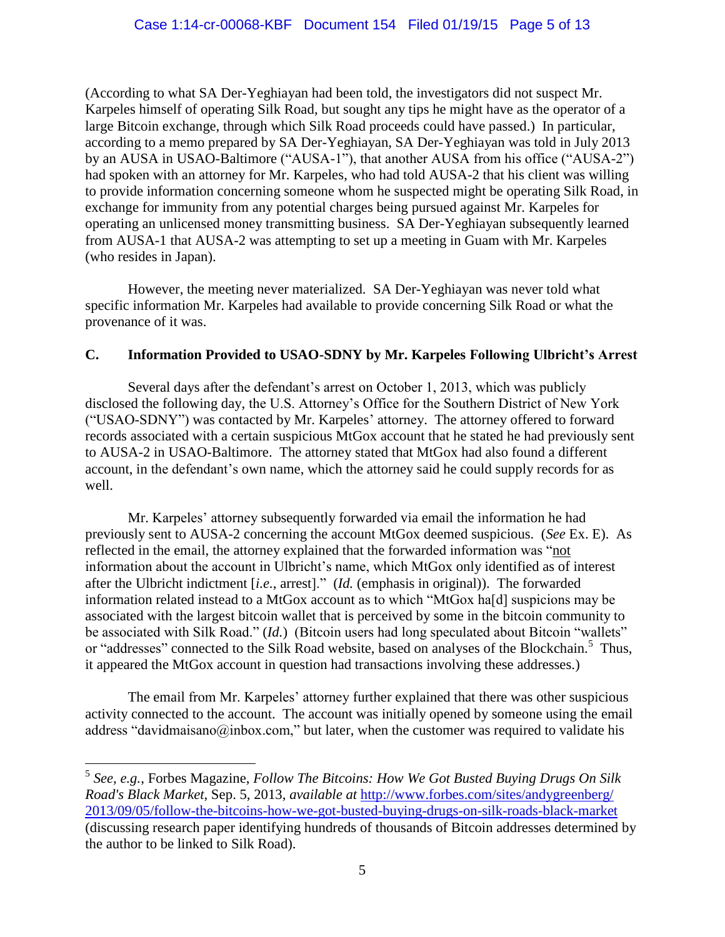(According to what SA Der-Yeghiayan had been told, the investigators did not suspect Mr. Karpeles himself of operating Silk Road, but sought any tips he might have as the operator of a large Bitcoin exchange, through which Silk Road proceeds could have passed.) In particular, according to a memo prepared by SA Der-Yeghiayan, SA Der-Yeghiayan was told in July 2013 by an AUSA in USAO-Baltimore ("AUSA-1"), that another AUSA from his office ("AUSA-2") had spoken with an attorney for Mr. Karpeles, who had told AUSA-2 that his client was willing to provide information concerning someone whom he suspected might be operating Silk Road, in exchange for immunity from any potential charges being pursued against Mr. Karpeles for operating an unlicensed money transmitting business. SA Der-Yeghiayan subsequently learned from AUSA-1 that AUSA-2 was attempting to set up a meeting in Guam with Mr. Karpeles (who resides in Japan).

However, the meeting never materialized. SA Der-Yeghiayan was never told what specific information Mr. Karpeles had available to provide concerning Silk Road or what the provenance of it was.

# **C. Information Provided to USAO-SDNY by Mr. Karpeles Following Ulbricht's Arrest**

Several days after the defendant's arrest on October 1, 2013, which was publicly disclosed the following day, the U.S. Attorney's Office for the Southern District of New York ("USAO-SDNY") was contacted by Mr. Karpeles' attorney. The attorney offered to forward records associated with a certain suspicious MtGox account that he stated he had previously sent to AUSA-2 in USAO-Baltimore. The attorney stated that MtGox had also found a different account, in the defendant's own name, which the attorney said he could supply records for as well.

Mr. Karpeles' attorney subsequently forwarded via email the information he had previously sent to AUSA-2 concerning the account MtGox deemed suspicious. (*See* Ex. E). As reflected in the email, the attorney explained that the forwarded information was "not information about the account in Ulbricht's name, which MtGox only identified as of interest after the Ulbricht indictment [*i.e.*, arrest]." (*Id.* (emphasis in original)). The forwarded information related instead to a MtGox account as to which "MtGox ha[d] suspicions may be associated with the largest bitcoin wallet that is perceived by some in the bitcoin community to be associated with Silk Road." (*Id.*) (Bitcoin users had long speculated about Bitcoin "wallets" or "addresses" connected to the Silk Road website, based on analyses of the Blockchain.<sup>5</sup> Thus, it appeared the MtGox account in question had transactions involving these addresses.)

The email from Mr. Karpeles' attorney further explained that there was other suspicious activity connected to the account. The account was initially opened by someone using the email address "davidmaisano@inbox.com," but later, when the customer was required to validate his

 $\overline{a}$ 

<sup>5</sup> *See, e.g.*, Forbes Magazine, *Follow The Bitcoins: How We Got Busted Buying Drugs On Silk Road's Black Market*, Sep. 5, 2013, *available at* [http://www.forbes.com/sites/andygreenberg/](http://www.forbes.com/sites/andygreenberg/2013/09/05/follow-the-bitcoins-how-we-got-busted-buying-drugs-on-silk-roads-black-market) [2013/09/05/follow-the-bitcoins-how-we-got-busted-buying-drugs-on-silk-roads-black-market](http://www.forbes.com/sites/andygreenberg/2013/09/05/follow-the-bitcoins-how-we-got-busted-buying-drugs-on-silk-roads-black-market) (discussing research paper identifying hundreds of thousands of Bitcoin addresses determined by the author to be linked to Silk Road).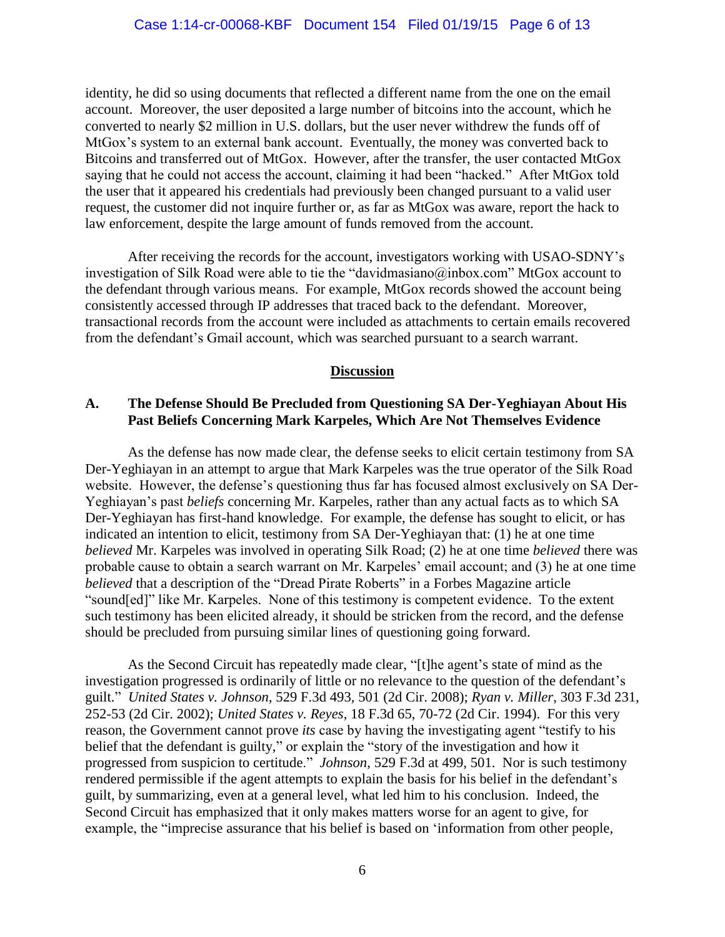identity, he did so using documents that reflected a different name from the one on the email account. Moreover, the user deposited a large number of bitcoins into the account, which he converted to nearly \$2 million in U.S. dollars, but the user never withdrew the funds off of MtGox's system to an external bank account. Eventually, the money was converted back to Bitcoins and transferred out of MtGox. However, after the transfer, the user contacted MtGox saying that he could not access the account, claiming it had been "hacked." After MtGox told the user that it appeared his credentials had previously been changed pursuant to a valid user request, the customer did not inquire further or, as far as MtGox was aware, report the hack to law enforcement, despite the large amount of funds removed from the account.

After receiving the records for the account, investigators working with USAO-SDNY's investigation of Silk Road were able to tie the "davidmasiano@inbox.com" MtGox account to the defendant through various means. For example, MtGox records showed the account being consistently accessed through IP addresses that traced back to the defendant. Moreover, transactional records from the account were included as attachments to certain emails recovered from the defendant's Gmail account, which was searched pursuant to a search warrant.

## **Discussion**

## **A. The Defense Should Be Precluded from Questioning SA Der-Yeghiayan About His Past Beliefs Concerning Mark Karpeles, Which Are Not Themselves Evidence**

As the defense has now made clear, the defense seeks to elicit certain testimony from SA Der-Yeghiayan in an attempt to argue that Mark Karpeles was the true operator of the Silk Road website. However, the defense's questioning thus far has focused almost exclusively on SA Der-Yeghiayan's past *beliefs* concerning Mr. Karpeles, rather than any actual facts as to which SA Der-Yeghiayan has first-hand knowledge. For example, the defense has sought to elicit, or has indicated an intention to elicit, testimony from SA Der-Yeghiayan that: (1) he at one time *believed* Mr. Karpeles was involved in operating Silk Road; (2) he at one time *believed* there was probable cause to obtain a search warrant on Mr. Karpeles' email account; and (3) he at one time *believed* that a description of the "Dread Pirate Roberts" in a Forbes Magazine article "sound[ed]" like Mr. Karpeles. None of this testimony is competent evidence. To the extent such testimony has been elicited already, it should be stricken from the record, and the defense should be precluded from pursuing similar lines of questioning going forward.

As the Second Circuit has repeatedly made clear, "[t]he agent's state of mind as the investigation progressed is ordinarily of little or no relevance to the question of the defendant's guilt." *United States v. Johnson*, 529 F.3d 493*,* 501 (2d Cir. 2008); *Ryan v. Miller*, 303 F.3d 231, 252-53 (2d Cir. 2002); *United States v. Reyes*, 18 F.3d 65, 70-72 (2d Cir. 1994). For this very reason, the Government cannot prove *its* case by having the investigating agent "testify to his belief that the defendant is guilty," or explain the "story of the investigation and how it progressed from suspicion to certitude." *Johnson*, 529 F.3d at 499, 501. Nor is such testimony rendered permissible if the agent attempts to explain the basis for his belief in the defendant's guilt, by summarizing, even at a general level, what led him to his conclusion. Indeed, the Second Circuit has emphasized that it only makes matters worse for an agent to give, for example, the "imprecise assurance that his belief is based on 'information from other people,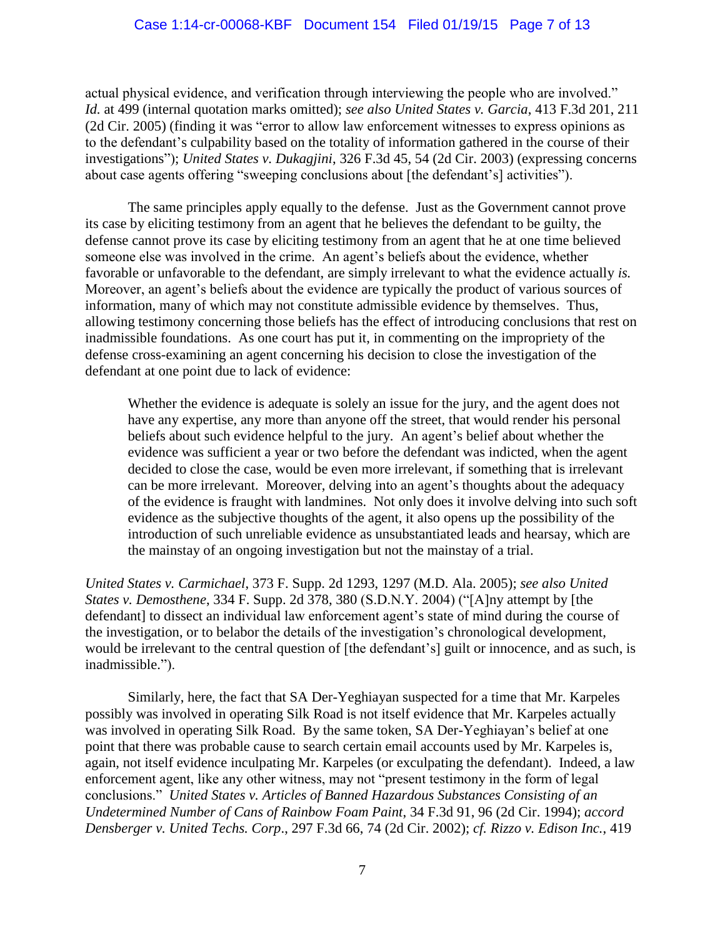actual physical evidence, and verification through interviewing the people who are involved." *Id.* at 499 (internal quotation marks omitted); *see also United States v. Garcia*, 413 F.3d 201, 211 (2d Cir. 2005) (finding it was "error to allow law enforcement witnesses to express opinions as to the defendant's culpability based on the totality of information gathered in the course of their investigations"); *United States v. Dukagjini*, 326 F.3d 45, 54 (2d Cir. 2003) (expressing concerns about case agents offering "sweeping conclusions about [the defendant's] activities").

The same principles apply equally to the defense. Just as the Government cannot prove its case by eliciting testimony from an agent that he believes the defendant to be guilty, the defense cannot prove its case by eliciting testimony from an agent that he at one time believed someone else was involved in the crime. An agent's beliefs about the evidence, whether favorable or unfavorable to the defendant, are simply irrelevant to what the evidence actually *is.*  Moreover, an agent's beliefs about the evidence are typically the product of various sources of information, many of which may not constitute admissible evidence by themselves. Thus, allowing testimony concerning those beliefs has the effect of introducing conclusions that rest on inadmissible foundations. As one court has put it, in commenting on the impropriety of the defense cross-examining an agent concerning his decision to close the investigation of the defendant at one point due to lack of evidence:

Whether the evidence is adequate is solely an issue for the jury, and the agent does not have any expertise, any more than anyone off the street, that would render his personal beliefs about such evidence helpful to the jury. An agent's belief about whether the evidence was sufficient a year or two before the defendant was indicted, when the agent decided to close the case, would be even more irrelevant, if something that is irrelevant can be more irrelevant. Moreover, delving into an agent's thoughts about the adequacy of the evidence is fraught with landmines. Not only does it involve delving into such soft evidence as the subjective thoughts of the agent, it also opens up the possibility of the introduction of such unreliable evidence as unsubstantiated leads and hearsay, which are the mainstay of an ongoing investigation but not the mainstay of a trial.

*United States v. Carmichael*, 373 F. Supp. 2d 1293, 1297 (M.D. Ala. 2005); *see also United States v. Demosthene*, 334 F. Supp. 2d 378, 380 (S.D.N.Y. 2004) ("[A]ny attempt by [the defendant] to dissect an individual law enforcement agent's state of mind during the course of the investigation, or to belabor the details of the investigation's chronological development, would be irrelevant to the central question of [the defendant's] guilt or innocence, and as such, is inadmissible.").

Similarly, here, the fact that SA Der-Yeghiayan suspected for a time that Mr. Karpeles possibly was involved in operating Silk Road is not itself evidence that Mr. Karpeles actually was involved in operating Silk Road. By the same token, SA Der-Yeghiayan's belief at one point that there was probable cause to search certain email accounts used by Mr. Karpeles is, again, not itself evidence inculpating Mr. Karpeles (or exculpating the defendant). Indeed, a law enforcement agent, like any other witness, may not "present testimony in the form of legal conclusions." *United States v. Articles of Banned Hazardous Substances Consisting of an Undetermined Number of Cans of Rainbow Foam Paint*, 34 F.3d 91, 96 (2d Cir. 1994); *accord Densberger v. United Techs. Corp*., 297 F.3d 66, 74 (2d Cir. 2002); *cf. Rizzo v. Edison Inc.*, 419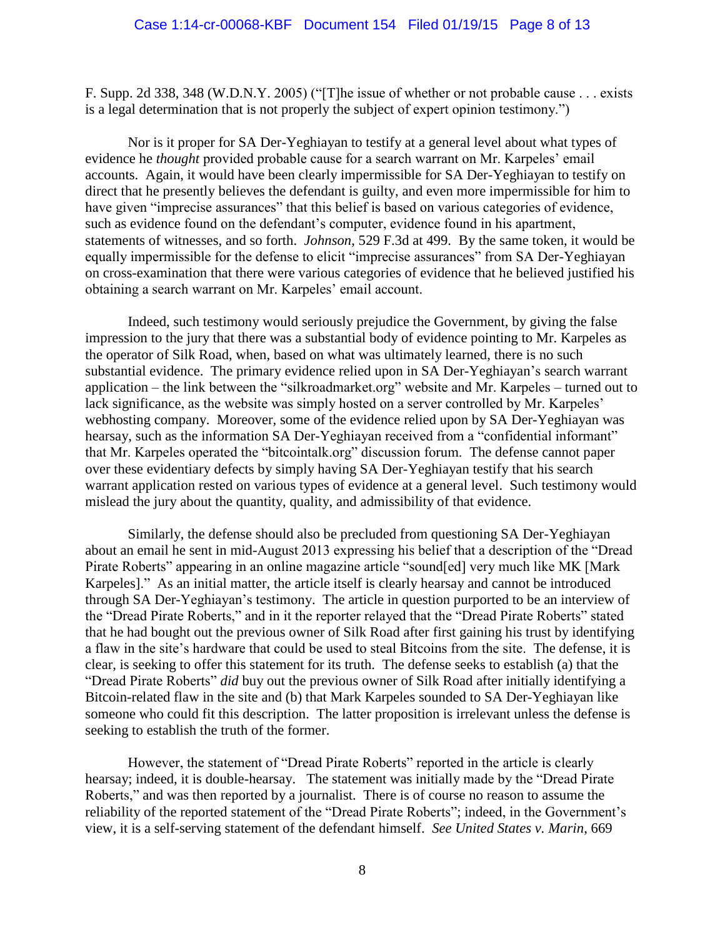F. Supp. 2d 338, 348 (W.D.N.Y. 2005) ("[T]he issue of whether or not probable cause . . . exists is a legal determination that is not properly the subject of expert opinion testimony.")

Nor is it proper for SA Der-Yeghiayan to testify at a general level about what types of evidence he *thought* provided probable cause for a search warrant on Mr. Karpeles' email accounts. Again, it would have been clearly impermissible for SA Der-Yeghiayan to testify on direct that he presently believes the defendant is guilty, and even more impermissible for him to have given "imprecise assurances" that this belief is based on various categories of evidence, such as evidence found on the defendant's computer, evidence found in his apartment, statements of witnesses, and so forth. *Johnson*, 529 F.3d at 499. By the same token, it would be equally impermissible for the defense to elicit "imprecise assurances" from SA Der-Yeghiayan on cross-examination that there were various categories of evidence that he believed justified his obtaining a search warrant on Mr. Karpeles' email account.

Indeed, such testimony would seriously prejudice the Government, by giving the false impression to the jury that there was a substantial body of evidence pointing to Mr. Karpeles as the operator of Silk Road, when, based on what was ultimately learned, there is no such substantial evidence. The primary evidence relied upon in SA Der-Yeghiayan's search warrant application – the link between the "silkroadmarket.org" website and Mr. Karpeles – turned out to lack significance, as the website was simply hosted on a server controlled by Mr. Karpeles' webhosting company. Moreover, some of the evidence relied upon by SA Der-Yeghiayan was hearsay, such as the information SA Der-Yeghiayan received from a "confidential informant" that Mr. Karpeles operated the "bitcointalk.org" discussion forum. The defense cannot paper over these evidentiary defects by simply having SA Der-Yeghiayan testify that his search warrant application rested on various types of evidence at a general level. Such testimony would mislead the jury about the quantity, quality, and admissibility of that evidence.

Similarly, the defense should also be precluded from questioning SA Der-Yeghiayan about an email he sent in mid-August 2013 expressing his belief that a description of the "Dread Pirate Roberts" appearing in an online magazine article "sound[ed] very much like MK [Mark Karpeles]." As an initial matter, the article itself is clearly hearsay and cannot be introduced through SA Der-Yeghiayan's testimony. The article in question purported to be an interview of the "Dread Pirate Roberts," and in it the reporter relayed that the "Dread Pirate Roberts" stated that he had bought out the previous owner of Silk Road after first gaining his trust by identifying a flaw in the site's hardware that could be used to steal Bitcoins from the site. The defense, it is clear, is seeking to offer this statement for its truth. The defense seeks to establish (a) that the "Dread Pirate Roberts" *did* buy out the previous owner of Silk Road after initially identifying a Bitcoin-related flaw in the site and (b) that Mark Karpeles sounded to SA Der-Yeghiayan like someone who could fit this description. The latter proposition is irrelevant unless the defense is seeking to establish the truth of the former.

However, the statement of "Dread Pirate Roberts" reported in the article is clearly hearsay; indeed, it is double-hearsay. The statement was initially made by the "Dread Pirate Roberts," and was then reported by a journalist. There is of course no reason to assume the reliability of the reported statement of the "Dread Pirate Roberts"; indeed, in the Government's view, it is a self-serving statement of the defendant himself. *See United States v. Marin*, 669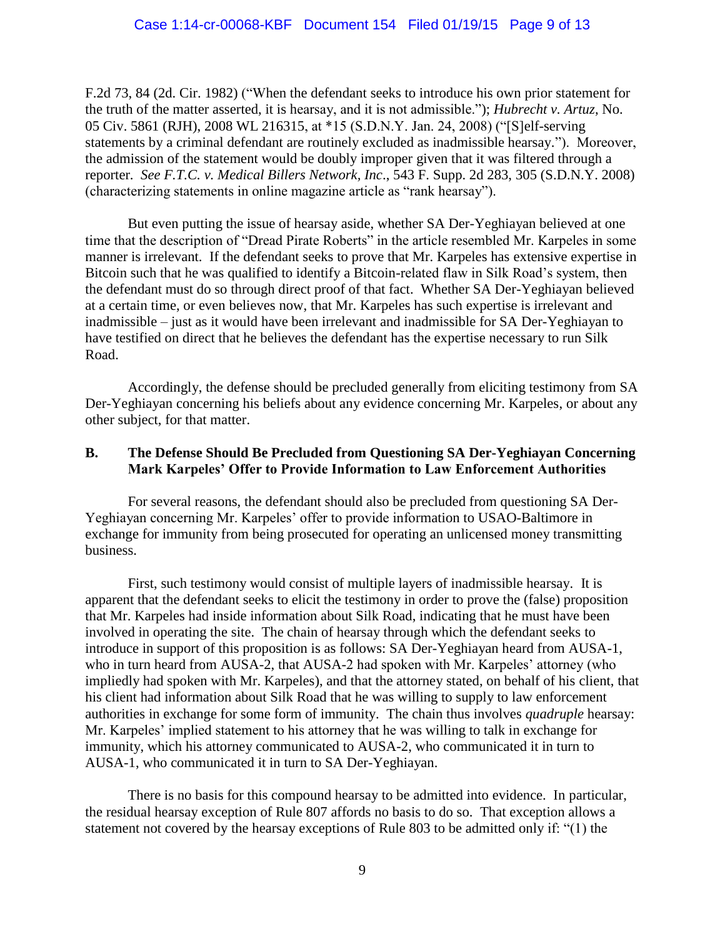F.2d 73, 84 (2d. Cir. 1982) ("When the defendant seeks to introduce his own prior statement for the truth of the matter asserted, it is hearsay, and it is not admissible."); *Hubrecht v. Artuz*, No. 05 Civ. 5861 (RJH), 2008 WL 216315, at \*15 (S.D.N.Y. Jan. 24, 2008) ("[S]elf-serving statements by a criminal defendant are routinely excluded as inadmissible hearsay."). Moreover, the admission of the statement would be doubly improper given that it was filtered through a reporter. *See F.T.C. v. Medical Billers Network, Inc*., 543 F. Supp. 2d 283, 305 (S.D.N.Y. 2008) (characterizing statements in online magazine article as "rank hearsay").

But even putting the issue of hearsay aside, whether SA Der-Yeghiayan believed at one time that the description of "Dread Pirate Roberts" in the article resembled Mr. Karpeles in some manner is irrelevant. If the defendant seeks to prove that Mr. Karpeles has extensive expertise in Bitcoin such that he was qualified to identify a Bitcoin-related flaw in Silk Road's system, then the defendant must do so through direct proof of that fact. Whether SA Der-Yeghiayan believed at a certain time, or even believes now, that Mr. Karpeles has such expertise is irrelevant and inadmissible – just as it would have been irrelevant and inadmissible for SA Der-Yeghiayan to have testified on direct that he believes the defendant has the expertise necessary to run Silk Road.

Accordingly, the defense should be precluded generally from eliciting testimony from SA Der-Yeghiayan concerning his beliefs about any evidence concerning Mr. Karpeles, or about any other subject, for that matter.

## **B. The Defense Should Be Precluded from Questioning SA Der-Yeghiayan Concerning Mark Karpeles' Offer to Provide Information to Law Enforcement Authorities**

For several reasons, the defendant should also be precluded from questioning SA Der-Yeghiayan concerning Mr. Karpeles' offer to provide information to USAO-Baltimore in exchange for immunity from being prosecuted for operating an unlicensed money transmitting business.

First, such testimony would consist of multiple layers of inadmissible hearsay. It is apparent that the defendant seeks to elicit the testimony in order to prove the (false) proposition that Mr. Karpeles had inside information about Silk Road, indicating that he must have been involved in operating the site. The chain of hearsay through which the defendant seeks to introduce in support of this proposition is as follows: SA Der-Yeghiayan heard from AUSA-1, who in turn heard from AUSA-2, that AUSA-2 had spoken with Mr. Karpeles' attorney (who impliedly had spoken with Mr. Karpeles), and that the attorney stated, on behalf of his client, that his client had information about Silk Road that he was willing to supply to law enforcement authorities in exchange for some form of immunity. The chain thus involves *quadruple* hearsay: Mr. Karpeles' implied statement to his attorney that he was willing to talk in exchange for immunity, which his attorney communicated to AUSA-2, who communicated it in turn to AUSA-1, who communicated it in turn to SA Der-Yeghiayan.

There is no basis for this compound hearsay to be admitted into evidence. In particular, the residual hearsay exception of Rule 807 affords no basis to do so. That exception allows a statement not covered by the hearsay exceptions of Rule 803 to be admitted only if: "(1) the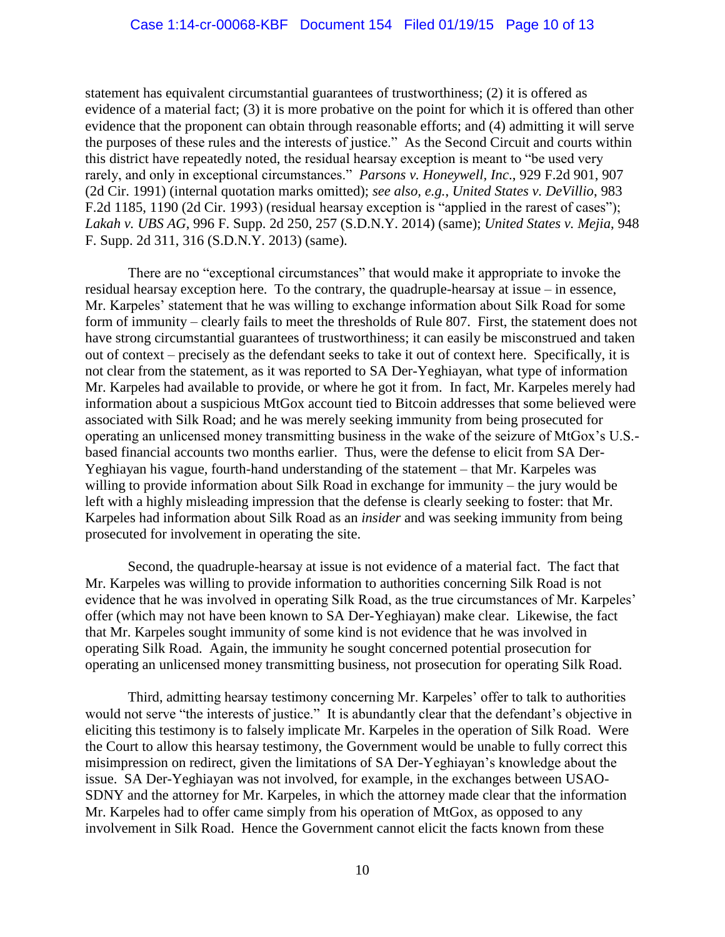statement has equivalent circumstantial guarantees of trustworthiness; (2) it is offered as evidence of a material fact; (3) it is more probative on the point for which it is offered than other evidence that the proponent can obtain through reasonable efforts; and (4) admitting it will serve the purposes of these rules and the interests of justice." As the Second Circuit and courts within this district have repeatedly noted, the residual hearsay exception is meant to "be used very rarely, and only in exceptional circumstances." *Parsons v. Honeywell, Inc*., 929 F.2d 901, 907 (2d Cir. 1991) (internal quotation marks omitted); *see also, e.g.*, *United States v. DeVillio*, 983 F.2d 1185, 1190 (2d Cir. 1993) (residual hearsay exception is "applied in the rarest of cases"); *Lakah v. UBS AG*, 996 F. Supp. 2d 250, 257 (S.D.N.Y. 2014) (same); *United States v. Mejia*, 948 F. Supp. 2d 311, 316 (S.D.N.Y. 2013) (same).

There are no "exceptional circumstances" that would make it appropriate to invoke the residual hearsay exception here. To the contrary, the quadruple-hearsay at issue – in essence, Mr. Karpeles' statement that he was willing to exchange information about Silk Road for some form of immunity – clearly fails to meet the thresholds of Rule 807. First, the statement does not have strong circumstantial guarantees of trustworthiness; it can easily be misconstrued and taken out of context – precisely as the defendant seeks to take it out of context here. Specifically, it is not clear from the statement, as it was reported to SA Der-Yeghiayan, what type of information Mr. Karpeles had available to provide, or where he got it from. In fact, Mr. Karpeles merely had information about a suspicious MtGox account tied to Bitcoin addresses that some believed were associated with Silk Road; and he was merely seeking immunity from being prosecuted for operating an unlicensed money transmitting business in the wake of the seizure of MtGox's U.S. based financial accounts two months earlier. Thus, were the defense to elicit from SA Der-Yeghiayan his vague, fourth-hand understanding of the statement – that Mr. Karpeles was willing to provide information about Silk Road in exchange for immunity – the jury would be left with a highly misleading impression that the defense is clearly seeking to foster: that Mr. Karpeles had information about Silk Road as an *insider* and was seeking immunity from being prosecuted for involvement in operating the site.

Second, the quadruple-hearsay at issue is not evidence of a material fact. The fact that Mr. Karpeles was willing to provide information to authorities concerning Silk Road is not evidence that he was involved in operating Silk Road, as the true circumstances of Mr. Karpeles' offer (which may not have been known to SA Der-Yeghiayan) make clear. Likewise, the fact that Mr. Karpeles sought immunity of some kind is not evidence that he was involved in operating Silk Road. Again, the immunity he sought concerned potential prosecution for operating an unlicensed money transmitting business, not prosecution for operating Silk Road.

Third, admitting hearsay testimony concerning Mr. Karpeles' offer to talk to authorities would not serve "the interests of justice." It is abundantly clear that the defendant's objective in eliciting this testimony is to falsely implicate Mr. Karpeles in the operation of Silk Road. Were the Court to allow this hearsay testimony, the Government would be unable to fully correct this misimpression on redirect, given the limitations of SA Der-Yeghiayan's knowledge about the issue. SA Der-Yeghiayan was not involved, for example, in the exchanges between USAO-SDNY and the attorney for Mr. Karpeles, in which the attorney made clear that the information Mr. Karpeles had to offer came simply from his operation of MtGox, as opposed to any involvement in Silk Road. Hence the Government cannot elicit the facts known from these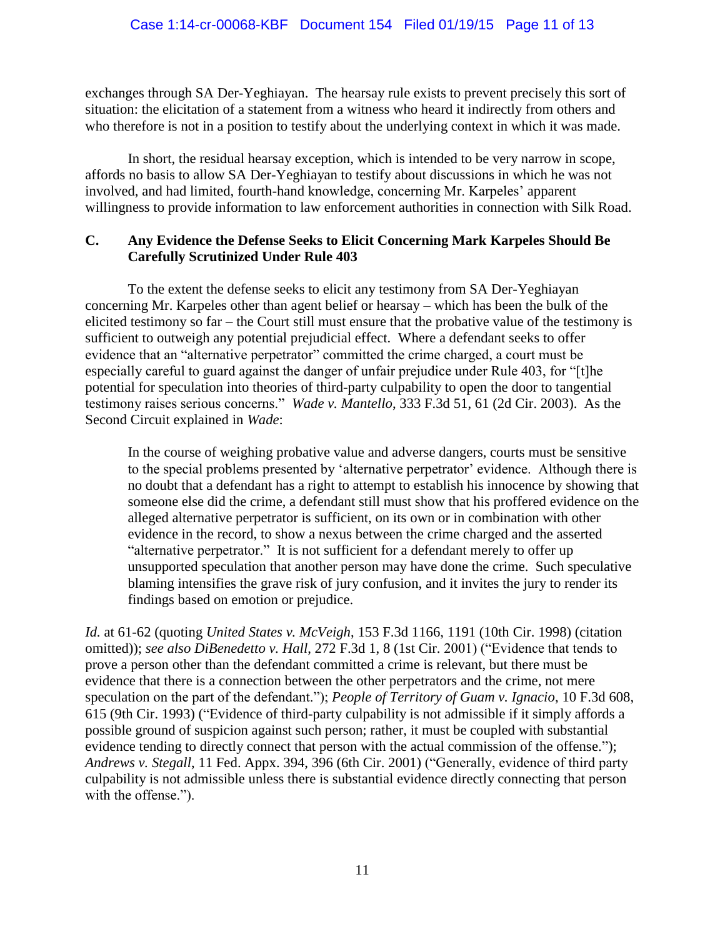exchanges through SA Der-Yeghiayan. The hearsay rule exists to prevent precisely this sort of situation: the elicitation of a statement from a witness who heard it indirectly from others and who therefore is not in a position to testify about the underlying context in which it was made.

In short, the residual hearsay exception, which is intended to be very narrow in scope, affords no basis to allow SA Der-Yeghiayan to testify about discussions in which he was not involved, and had limited, fourth-hand knowledge, concerning Mr. Karpeles' apparent willingness to provide information to law enforcement authorities in connection with Silk Road.

# **C. Any Evidence the Defense Seeks to Elicit Concerning Mark Karpeles Should Be Carefully Scrutinized Under Rule 403**

To the extent the defense seeks to elicit any testimony from SA Der-Yeghiayan concerning Mr. Karpeles other than agent belief or hearsay – which has been the bulk of the elicited testimony so far – the Court still must ensure that the probative value of the testimony is sufficient to outweigh any potential prejudicial effect. Where a defendant seeks to offer evidence that an "alternative perpetrator" committed the crime charged, a court must be especially careful to guard against the danger of unfair prejudice under Rule 403, for "[t]he potential for speculation into theories of third-party culpability to open the door to tangential testimony raises serious concerns." *Wade v. Mantello*, 333 F.3d 51, 61 (2d Cir. 2003). As the Second Circuit explained in *Wade*:

In the course of weighing probative value and adverse dangers, courts must be sensitive to the special problems presented by 'alternative perpetrator' evidence. Although there is no doubt that a defendant has a right to attempt to establish his innocence by showing that someone else did the crime, a defendant still must show that his proffered evidence on the alleged alternative perpetrator is sufficient, on its own or in combination with other evidence in the record, to show a nexus between the crime charged and the asserted "alternative perpetrator." It is not sufficient for a defendant merely to offer up unsupported speculation that another person may have done the crime. Such speculative blaming intensifies the grave risk of jury confusion, and it invites the jury to render its findings based on emotion or prejudice.

*Id.* at 61-62 (quoting *United States v. McVeigh*, 153 F.3d 1166, 1191 (10th Cir. 1998) (citation omitted)); *see also DiBenedetto v. Hall*, 272 F.3d 1, 8 (1st Cir. 2001) ("Evidence that tends to prove a person other than the defendant committed a crime is relevant, but there must be evidence that there is a connection between the other perpetrators and the crime, not mere speculation on the part of the defendant."); *People of Territory of Guam v. Ignacio*, 10 F.3d 608, 615 (9th Cir. 1993) ("Evidence of third-party culpability is not admissible if it simply affords a possible ground of suspicion against such person; rather, it must be coupled with substantial evidence tending to directly connect that person with the actual commission of the offense."); *Andrews v. Stegall*, 11 Fed. Appx. 394, 396 (6th Cir. 2001) ("Generally, evidence of third party culpability is not admissible unless there is substantial evidence directly connecting that person with the offense.").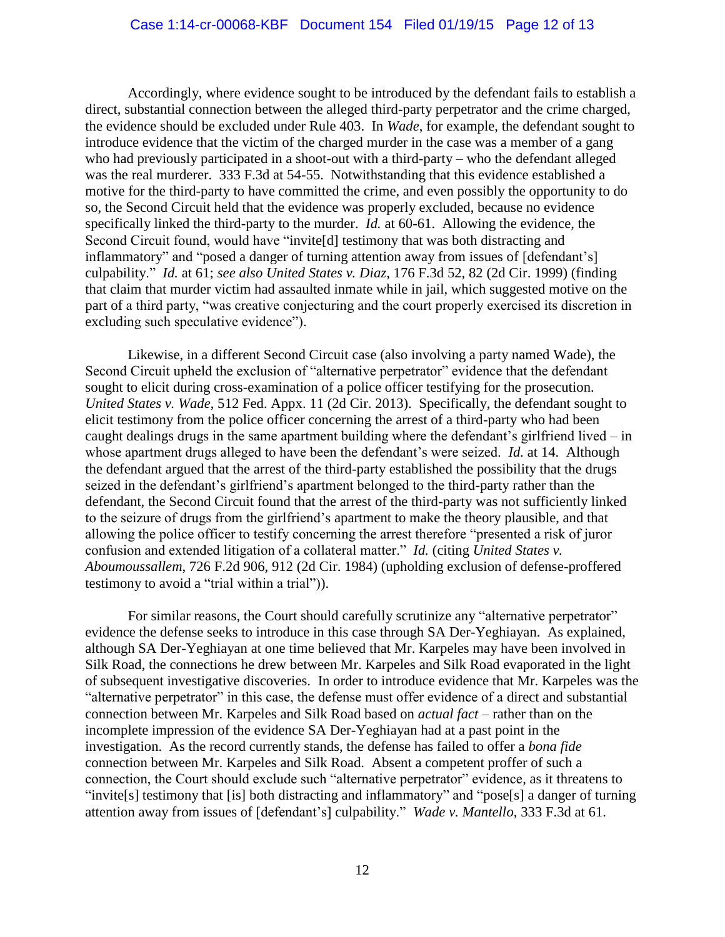## Case 1:14-cr-00068-KBF Document 154 Filed 01/19/15 Page 12 of 13

Accordingly, where evidence sought to be introduced by the defendant fails to establish a direct, substantial connection between the alleged third-party perpetrator and the crime charged, the evidence should be excluded under Rule 403. In *Wade*, for example, the defendant sought to introduce evidence that the victim of the charged murder in the case was a member of a gang who had previously participated in a shoot-out with a third-party – who the defendant alleged was the real murderer. 333 F.3d at 54-55. Notwithstanding that this evidence established a motive for the third-party to have committed the crime, and even possibly the opportunity to do so, the Second Circuit held that the evidence was properly excluded, because no evidence specifically linked the third-party to the murder. *Id.* at 60-61. Allowing the evidence, the Second Circuit found, would have "invite[d] testimony that was both distracting and inflammatory" and "posed a danger of turning attention away from issues of [defendant's] culpability." *Id.* at 61; *see also United States v. Diaz*, 176 F.3d 52, 82 (2d Cir. 1999) (finding that claim that murder victim had assaulted inmate while in jail, which suggested motive on the part of a third party, "was creative conjecturing and the court properly exercised its discretion in excluding such speculative evidence").

Likewise, in a different Second Circuit case (also involving a party named Wade), the Second Circuit upheld the exclusion of "alternative perpetrator" evidence that the defendant sought to elicit during cross-examination of a police officer testifying for the prosecution. *United States v. Wade*, 512 Fed. Appx. 11 (2d Cir. 2013). Specifically, the defendant sought to elicit testimony from the police officer concerning the arrest of a third-party who had been caught dealings drugs in the same apartment building where the defendant's girlfriend lived – in whose apartment drugs alleged to have been the defendant's were seized. *Id.* at 14. Although the defendant argued that the arrest of the third-party established the possibility that the drugs seized in the defendant's girlfriend's apartment belonged to the third-party rather than the defendant, the Second Circuit found that the arrest of the third-party was not sufficiently linked to the seizure of drugs from the girlfriend's apartment to make the theory plausible, and that allowing the police officer to testify concerning the arrest therefore "presented a risk of juror confusion and extended litigation of a collateral matter." *Id.* (citing *United States v. Aboumoussallem*, 726 F.2d 906, 912 (2d Cir. 1984) (upholding exclusion of defense-proffered testimony to avoid a "trial within a trial")).

For similar reasons, the Court should carefully scrutinize any "alternative perpetrator" evidence the defense seeks to introduce in this case through SA Der-Yeghiayan. As explained, although SA Der-Yeghiayan at one time believed that Mr. Karpeles may have been involved in Silk Road, the connections he drew between Mr. Karpeles and Silk Road evaporated in the light of subsequent investigative discoveries. In order to introduce evidence that Mr. Karpeles was the "alternative perpetrator" in this case, the defense must offer evidence of a direct and substantial connection between Mr. Karpeles and Silk Road based on *actual fact* – rather than on the incomplete impression of the evidence SA Der-Yeghiayan had at a past point in the investigation. As the record currently stands, the defense has failed to offer a *bona fide*  connection between Mr. Karpeles and Silk Road. Absent a competent proffer of such a connection, the Court should exclude such "alternative perpetrator" evidence, as it threatens to "invite[s] testimony that [is] both distracting and inflammatory" and "pose[s] a danger of turning attention away from issues of [defendant's] culpability." *Wade v. Mantello*, 333 F.3d at 61.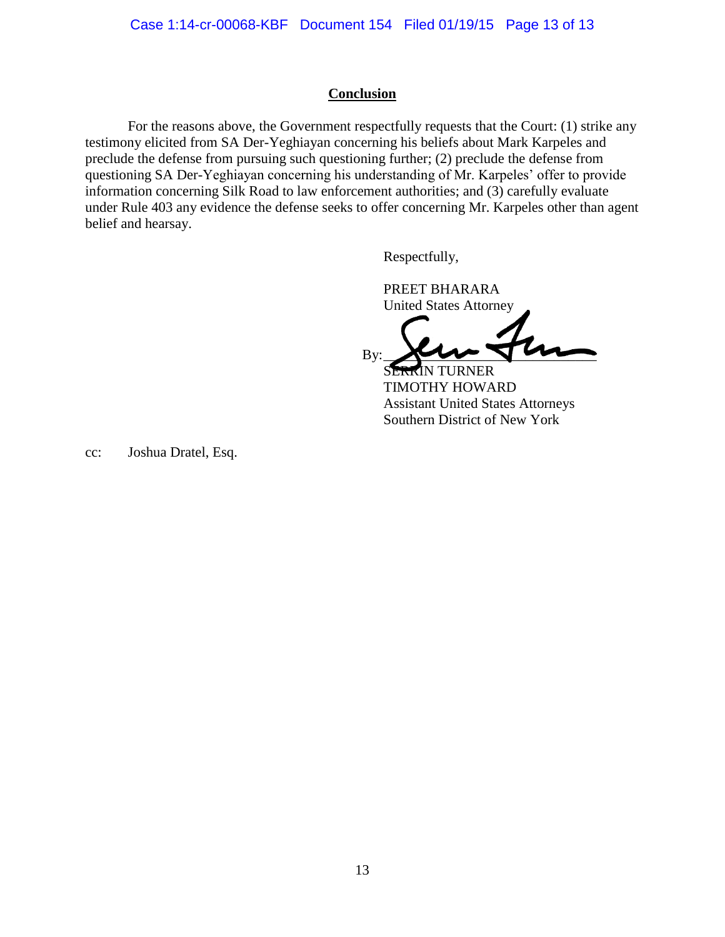## **Conclusion**

For the reasons above, the Government respectfully requests that the Court: (1) strike any testimony elicited from SA Der-Yeghiayan concerning his beliefs about Mark Karpeles and preclude the defense from pursuing such questioning further; (2) preclude the defense from questioning SA Der-Yeghiayan concerning his understanding of Mr. Karpeles' offer to provide information concerning Silk Road to law enforcement authorities; and (3) carefully evaluate under Rule 403 any evidence the defense seeks to offer concerning Mr. Karpeles other than agent belief and hearsay.

Respectfully,

PREET BHARARA United States Attorney

 $By:$   $\sqrt{2}$ 

SERRIN TURNER TIMOTHY HOWARD Assistant United States Attorneys Southern District of New York

cc: Joshua Dratel, Esq.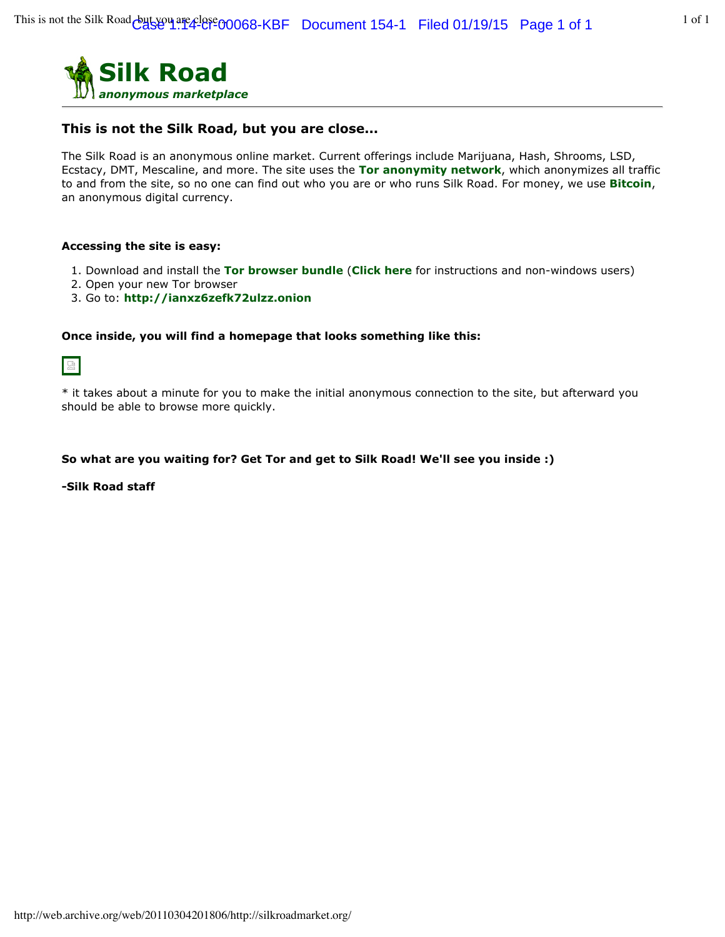

## **This is not the Silk Road, but you are close...**

The Silk Road is an anonymous online market. Current offerings include Marijuana, Hash, Shrooms, LSD, Ecstacy, DMT, Mescaline, and more. The site uses the **Tor anonymity network**, which anonymizes all traffic to and from the site, so no one can find out who you are or who runs Silk Road. For money, we use **Bitcoin**, an anonymous digital currency.

#### **Accessing the site is easy:**

- 1. Download and install the **Tor browser bundle** (**Click here** for instructions and non-windows users)
- 2. Open your new Tor browser
- 3. Go to: **http://ianxz6zefk72ulzz.onion**

#### **Once inside, you will find a homepage that looks something like this:**



\* it takes about a minute for you to make the initial anonymous connection to the site, but afterward you should be able to browse more quickly.

#### **So what are you waiting for? Get Tor and get to Silk Road! We'll see you inside :)**

**-Silk Road staff**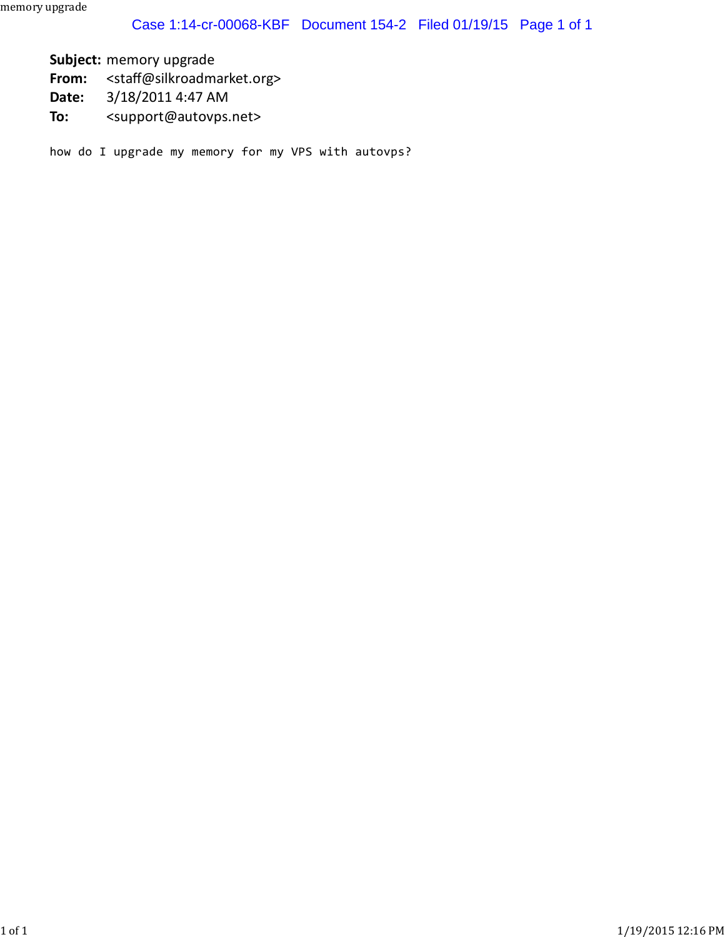**Subject:** memory upgrade

**From:** <staff@silkroadmarket.org>

**Date:** 3/18/2011 4:47 AM

**To:** <support@autovps.net>

how do I upgrade my memory for my VPS with autovps?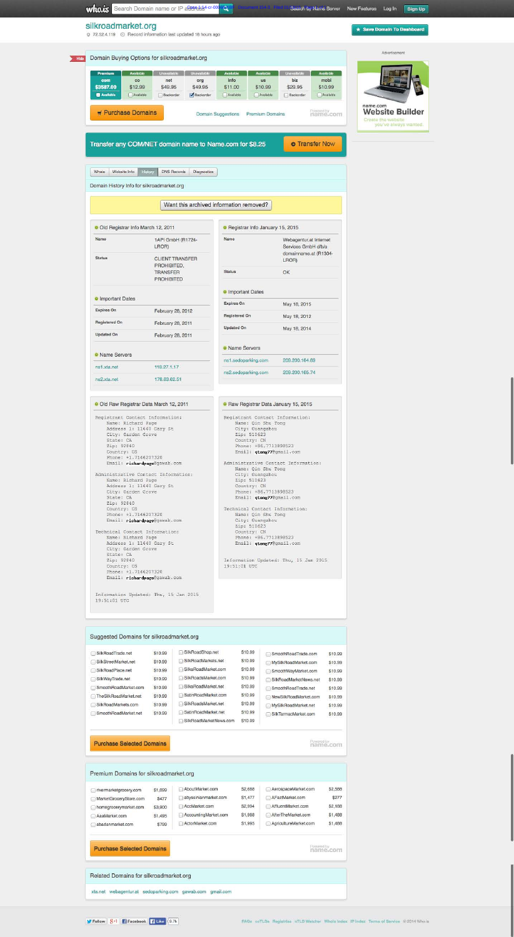Sign Up

★ Save Domain To Dashboard

# silkroadmarket.org



| <b>Registered On</b>                                                                                                                                                                                                                                                                                                                                                                                                                                                                                                                                                                                                                   | February 28, 2011                     | <b>Updated On</b>                                                                                                                                                                                                                                                                                                                                                                                                                                                                                                                                     |                |
|----------------------------------------------------------------------------------------------------------------------------------------------------------------------------------------------------------------------------------------------------------------------------------------------------------------------------------------------------------------------------------------------------------------------------------------------------------------------------------------------------------------------------------------------------------------------------------------------------------------------------------------|---------------------------------------|-------------------------------------------------------------------------------------------------------------------------------------------------------------------------------------------------------------------------------------------------------------------------------------------------------------------------------------------------------------------------------------------------------------------------------------------------------------------------------------------------------------------------------------------------------|----------------|
| <b>Updated On</b>                                                                                                                                                                                                                                                                                                                                                                                                                                                                                                                                                                                                                      | February 28, 2011                     |                                                                                                                                                                                                                                                                                                                                                                                                                                                                                                                                                       | May 18, 2014   |
| <b>• Name Servers</b>                                                                                                                                                                                                                                                                                                                                                                                                                                                                                                                                                                                                                  |                                       | • Name Servers                                                                                                                                                                                                                                                                                                                                                                                                                                                                                                                                        |                |
|                                                                                                                                                                                                                                                                                                                                                                                                                                                                                                                                                                                                                                        |                                       | ns1.sedoparking.com                                                                                                                                                                                                                                                                                                                                                                                                                                                                                                                                   | 209.200.164.69 |
| ns1.xta.net                                                                                                                                                                                                                                                                                                                                                                                                                                                                                                                                                                                                                            | 118.27.1.17                           | ns2.sedoparking.com                                                                                                                                                                                                                                                                                                                                                                                                                                                                                                                                   | 209.200.165.74 |
| ns2.xta.net                                                                                                                                                                                                                                                                                                                                                                                                                                                                                                                                                                                                                            | 178.63.62.51                          |                                                                                                                                                                                                                                                                                                                                                                                                                                                                                                                                                       |                |
| Old Raw Registrar Data March 12, 2011                                                                                                                                                                                                                                                                                                                                                                                                                                                                                                                                                                                                  |                                       | Raw Registrar Data January 15, 2015                                                                                                                                                                                                                                                                                                                                                                                                                                                                                                                   |                |
| Registrant Contact Information:<br>Name: Richard Page<br>Address 1: 11640 Gary St<br>City: Garden Grove<br>State: CA<br>Zip: 92840<br>Country: US<br>Phone: +1.7146207320<br>Email: richardpage@gawab.com<br>Administrative Contact Information:<br>Name: Richard Page<br>Address 1: 11640 Gary St<br>City: Garden Grove<br>State: CA<br>Zip: 92840<br>Country: US<br>Phone: +1.7146207320<br>Email: richardpage@gawab.com<br>Technical Contact Information:<br>Name: Richard Page<br>Address 1: 11640 Gary St<br>City: Garden Grove<br>State: CA<br>Zip: 92840<br>Country: US<br>Phone: +1.7146207320<br>Email: richardpage@gawab.com |                                       | Registrant Contact Information:<br>Name: Qin Shu Tong<br>City: Guangzhou<br>Zip: 510623<br>Country: CN<br>Phone: +86.7713898523<br>Email: qtong77@gmail.com<br>Administrative Contact Information:<br>Name: Qin Shu Tong<br>City: Guangzhou<br>Zip: 510623<br>Country: CN<br>Phone: +86.7713898523<br>Email: qtong77@gmail.com<br>Technical Contact Information:<br>Name: Qin Shu Tong<br>City: Guangzhou<br>Zip: 510623<br>Country: CN<br>Phone: +86.7713898523<br>Email: qtong77@gmail.com<br>Information Updated: Thu, 15 Jan 2015<br>19:51:01 UTC |                |
| 19:51:01 UTC                                                                                                                                                                                                                                                                                                                                                                                                                                                                                                                                                                                                                           | Information Updated: Thu, 15 Jan 2015 |                                                                                                                                                                                                                                                                                                                                                                                                                                                                                                                                                       |                |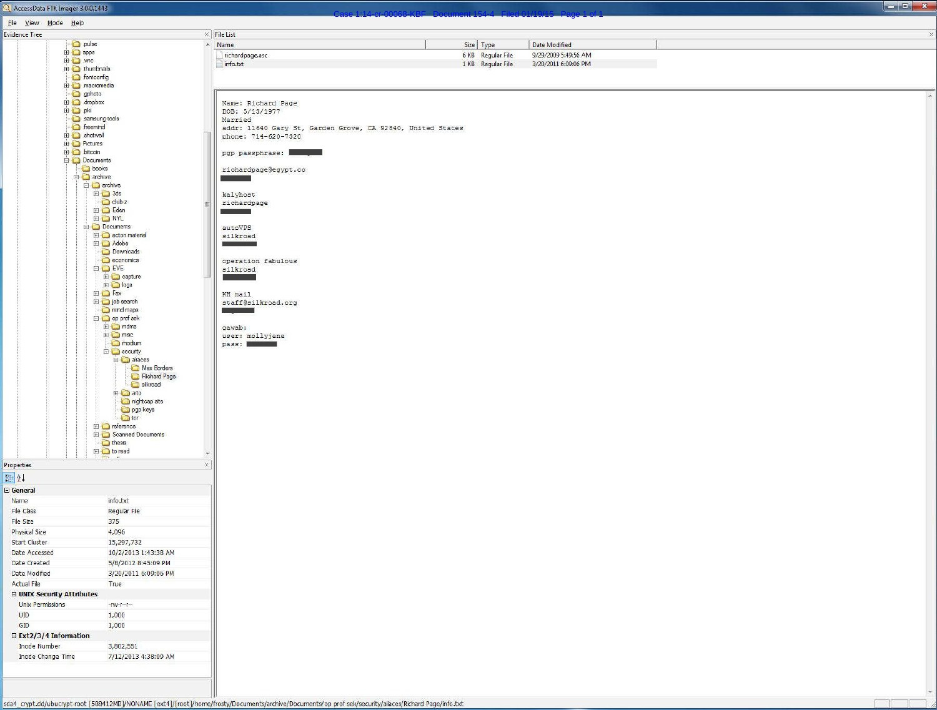

f T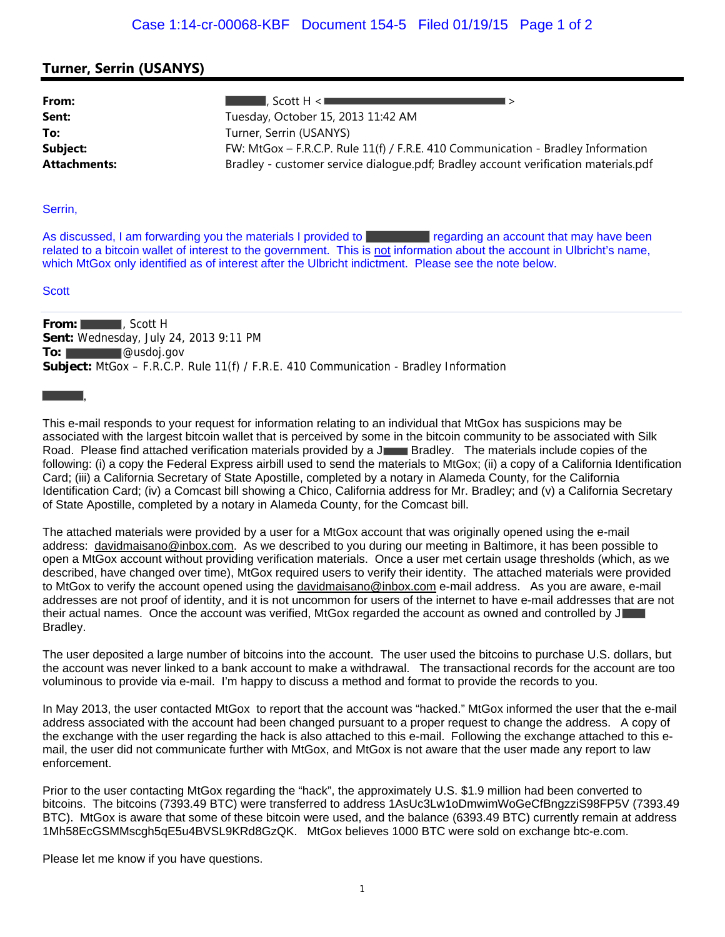## **Turner, Serrin (USANYS)**

| From:               | . Scott H $<$ $\blacksquare$                                                        |  |
|---------------------|-------------------------------------------------------------------------------------|--|
| Sent:               | Tuesday, October 15, 2013 11:42 AM                                                  |  |
| To:                 | Turner, Serrin (USANYS)                                                             |  |
| Subject:            | FW: MtGox - F.R.C.P. Rule 11(f) / F.R.E. 410 Communication - Bradley Information    |  |
| <b>Attachments:</b> | Bradley - customer service dialogue.pdf; Bradley account verification materials.pdf |  |

#### Serrin,

As discussed, I am forwarding you the materials I provided to regarding an account that may have been related to a bitcoin wallet of interest to the government. This is not information about the account in Ulbricht's name, which MtGox only identified as of interest after the Ulbricht indictment. Please see the note below.

#### **Scott**

,

**From:** , Scott H **Sent:** Wednesday, July 24, 2013 9:11 PM To: **William Contract Contract Contract Contract Contract Contract Contract Contract Contract Contract Contract Contract Contract Contract Contract Contract Contract Contract Contract Contract Contract Contract Contract Co Subject:** MtGox – F.R.C.P. Rule 11(f) / F.R.E. 410 Communication - Bradley Information

This e-mail responds to your request for information relating to an individual that MtGox has suspicions may be associated with the largest bitcoin wallet that is perceived by some in the bitcoin community to be associated with Silk Road. Please find attached verification materials provided by a J Bradley. The materials include copies of the following: (i) a copy the Federal Express airbill used to send the materials to MtGox; (ii) a copy of a California Identification Card; (iii) a California Secretary of State Apostille, completed by a notary in Alameda County, for the California Identification Card; (iv) a Comcast bill showing a Chico, California address for Mr. Bradley; and (v) a California Secretary of State Apostille, completed by a notary in Alameda County, for the Comcast bill.

The attached materials were provided by a user for a MtGox account that was originally opened using the e-mail address: davidmaisano@inbox.com. As we described to you during our meeting in Baltimore, it has been possible to open a MtGox account without providing verification materials. Once a user met certain usage thresholds (which, as we described, have changed over time), MtGox required users to verify their identity. The attached materials were provided to MtGox to verify the account opened using the davidmaisano@inbox.com e-mail address. As you are aware, e-mail addresses are not proof of identity, and it is not uncommon for users of the internet to have e-mail addresses that are not their actual names. Once the account was verified, MtGox regarded the account as owned and controlled by J Bradley.

The user deposited a large number of bitcoins into the account. The user used the bitcoins to purchase U.S. dollars, but the account was never linked to a bank account to make a withdrawal. The transactional records for the account are too voluminous to provide via e-mail. I'm happy to discuss a method and format to provide the records to you.

In May 2013, the user contacted MtGox to report that the account was "hacked." MtGox informed the user that the e-mail address associated with the account had been changed pursuant to a proper request to change the address. A copy of the exchange with the user regarding the hack is also attached to this e-mail. Following the exchange attached to this email, the user did not communicate further with MtGox, and MtGox is not aware that the user made any report to law enforcement.

Prior to the user contacting MtGox regarding the "hack", the approximately U.S. \$1.9 million had been converted to bitcoins. The bitcoins (7393.49 BTC) were transferred to address 1AsUc3Lw1oDmwimWoGeCfBngzziS98FP5V (7393.49 BTC). MtGox is aware that some of these bitcoin were used, and the balance (6393.49 BTC) currently remain at address 1Mh58EcGSMMscgh5qE5u4BVSL9KRd8GzQK. MtGox believes 1000 BTC were sold on exchange btc-e.com.

Please let me know if you have questions.